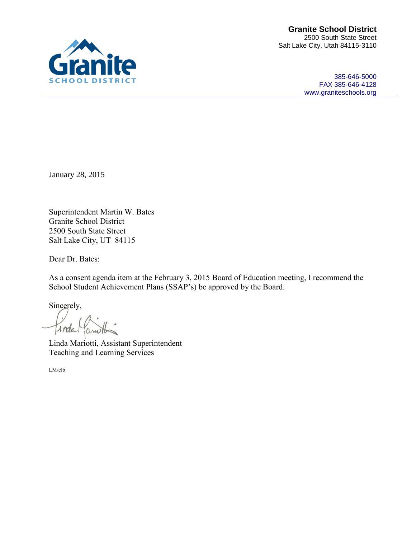385-646-5000 FAX 385-646-4128 [www.graniteschools.org](http://www.graniteschools.org/)

January 28, 2015

Superintendent Martin W. Bates Granite School District 2500 South State Street Salt Lake City, UT 84115

Dear Dr. Bates:

As a consent agenda item at the February 3, 2015 Board of Education meeting, I recommend the School Student Achievement Plans (SSAP's) be approved by the Board.

Sincerely,

Inda ario

Linda Mariotti, Assistant Superintendent Teaching and Learning Services

LM/clb